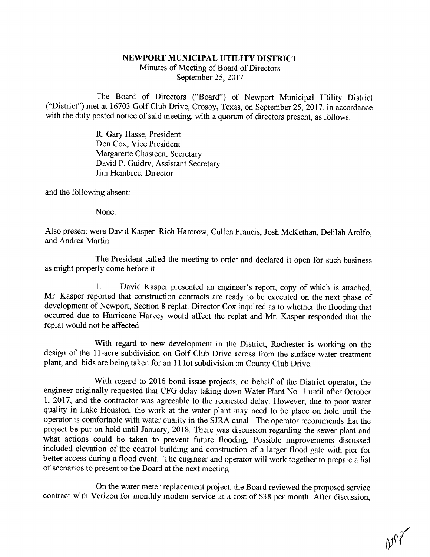## NEWPORT MUNICIPAL UTILITY DISTRICT

Minutes of Meeting of Board of Directors September 25, 2017

The Board of Directors ("Board") of Newport Municipal Utility District ("District") met at 16703 Golf Club Drive, Crosby, Texas, on September 25, 2017, in accordance with the duly posted notice of said meeting, with a quorum of directors present, as follows:

> R. Gary Hasse, President Don Cox, Vice President Margarette Chasteen, Secretary David P. Guidry, Assistant Secretary Jim Hembree, Director

and the following absent:

None.

Also present were David Kasper, Rich Harcrow, Cullen Francis, Josh McKethan, Delilah Arolfo, and Andrea Martin.

The President called the meeting to order and declared it open for such business as might properly come before it.

1. David Kasper presented an engineer's report, copy of which is attached.<br>Mr. Kasper reported that construction contracts are ready to be executed on the next phase of<br>development of Newport, Section 8 replat. Director Co replat would not be affected.

With regard to new development in the District, Rochester is working on the design of the 11-acre subdivision on Golf Club Drive across from the surface water treatment plant, and bids are being taken for an 11 lot subdivision on County Club Drive.

With regard to 2016 bond issue projects, on behalf of the District operator, the engineer originally requested that CFG delay taking down Water Plant No. 1 until after October 1, 2017, and the contractor was agreeable to the requested delay. However, due to poor water quality in Lake Houston, the work at the water plant may need to be place on hold until the operator is comfortable with water quality in the SJRA canal. The operator recommends that the project be put on hold until January, 2018. There was discussion regarding the sewer plant and what actions could be taken to prevent future flooding. Possible improvements discussed included elevation of the control building and construction of a larger flood gate with pier for better access during a flood event. The engineer and operator will work together to prepare a list of scenarios to present to the Board at the next meeting.

On the water meter replacement project, the Board reviewed the proposed service contract with Verizon for monthly modem service at a cost of \$38 per month. After discussion,

 $0008$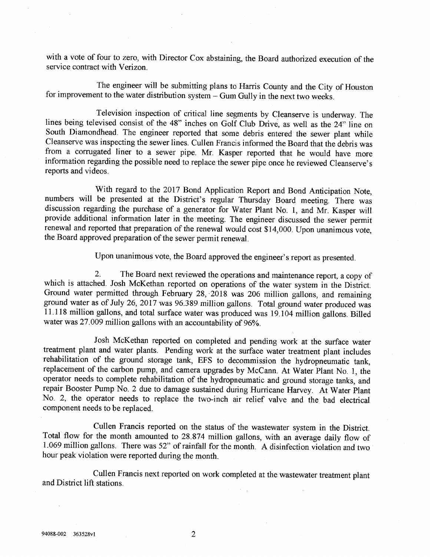with a vote of four to zero, with Director Cox abstaining, the Board authorized execution of the service contract with Verizon.

The engineer will be submitting plans to Harris County and the City of Houston for improvement to the water distribution system - Gum Gully in the next two weeks.

Television inspection of critical line segments by Cleanserve is underway. The<br>lines being televised consist of the 48" inches on Golf Club Drive, as well as the 24" line on<br>South Diamondhead. The engineer reported that so

With regard to the 2017 Bond Application Report and Bond Anticipation Note,<br>numbers will be presented at the District's regular Thursday Board meeting. There was<br>discussion regarding the purchase of a generator for Water P

Upon unanimous vote, the Board approved the engineer's report as presented.

2. The Board next reviewed the operations and maintenance report, a copy of which is attached. Josh McKethan reported on operations of the water system in the District. Ground water permitted through February 28, 2018 was

Josh McKethan reported on completed and pending work at the surface water<br>treatment plant and water plants. Pending work at the surface water treatment plant includes<br>rehabilitation of the ground storage tank, EFS to decom

Cullen Francis reported on the status of the wastewater system in the District.<br>Total flow for the month amounted to 28.874 million gallons, with an average daily flow of 1.069 million gallons. There was 52" of rainfall fo

Cullen Francis next reported on work completed at the wastewater treatment plant and District lift stations.

2